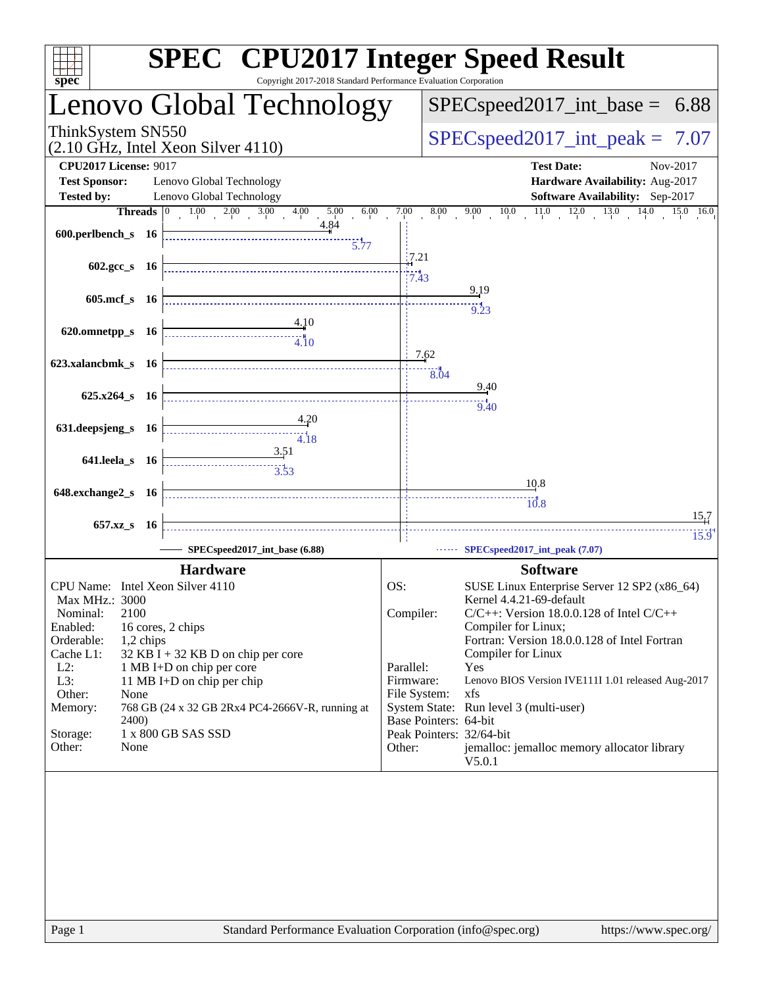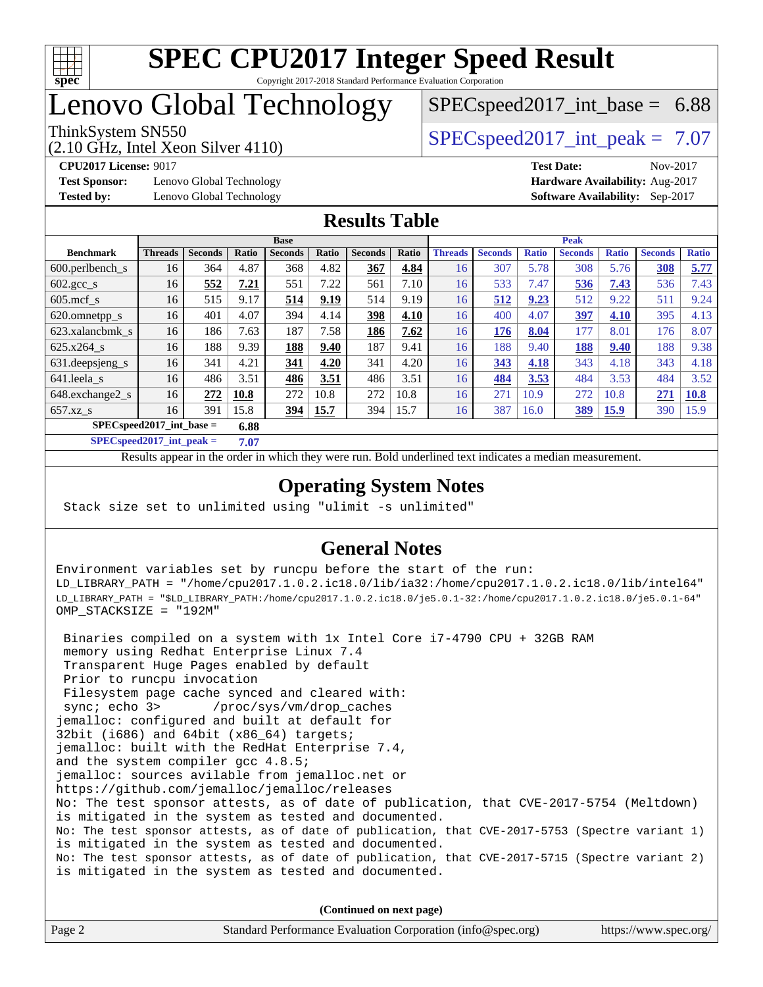

## Lenovo Global Technology

# $SPECspeed2017\_int\_base = 6.88$

### (2.10 GHz, Intel Xeon Silver 4110)

ThinkSystem SN550  $SPEC speed2017$  int peak = 7.07

**[Test Sponsor:](http://www.spec.org/auto/cpu2017/Docs/result-fields.html#TestSponsor)** Lenovo Global Technology **[Hardware Availability:](http://www.spec.org/auto/cpu2017/Docs/result-fields.html#HardwareAvailability)** Aug-2017 **[Tested by:](http://www.spec.org/auto/cpu2017/Docs/result-fields.html#Testedby)** Lenovo Global Technology **[Software Availability:](http://www.spec.org/auto/cpu2017/Docs/result-fields.html#SoftwareAvailability)** Sep-2017

**[CPU2017 License:](http://www.spec.org/auto/cpu2017/Docs/result-fields.html#CPU2017License)** 9017 **[Test Date:](http://www.spec.org/auto/cpu2017/Docs/result-fields.html#TestDate)** Nov-2017

### **[Results Table](http://www.spec.org/auto/cpu2017/Docs/result-fields.html#ResultsTable)**

|                                     | <b>Base</b>    |                |       |                |       | <b>Peak</b>    |       |                |                |              |                |              |                |              |
|-------------------------------------|----------------|----------------|-------|----------------|-------|----------------|-------|----------------|----------------|--------------|----------------|--------------|----------------|--------------|
| <b>Benchmark</b>                    | <b>Threads</b> | <b>Seconds</b> | Ratio | <b>Seconds</b> | Ratio | <b>Seconds</b> | Ratio | <b>Threads</b> | <b>Seconds</b> | <b>Ratio</b> | <b>Seconds</b> | <b>Ratio</b> | <b>Seconds</b> | <b>Ratio</b> |
| $600.$ perlbench $\mathsf{S}$       | 16             | 364            | 4.87  | 368            | 4.82  | 367            | 4.84  | 16             | 307            | 5.78         | 308            | 5.76         | 308            | 5.77         |
| $602.\text{gcc}\_\text{s}$          | 16             | 552            | 7.21  | 551            | 7.22  | 561            | 7.10  | 16             | 533            | 7.47         | 536            | 7.43         | 536            | 7.43         |
| $605$ .mcf s                        | 16             | 515            | 9.17  | 514            | 9.19  | 514            | 9.19  | 16             | 512            | 9.23         | 512            | 9.22         | 511            | 9.24         |
| 620.omnetpp_s                       | 16             | 401            | 4.07  | 394            | 4.14  | 398            | 4.10  | 16             | 400            | 4.07         | 397            | 4.10         | 395            | 4.13         |
| 623.xalancbmk s                     | 16             | 186            | 7.63  | 187            | 7.58  | 186            | 7.62  | 16             | 176            | 8.04         | 177            | 8.01         | 176            | 8.07         |
| 625.x264 s                          | 16             | 188            | 9.39  | 188            | 9.40  | 187            | 9.41  | 16             | 188            | 9.40         | 188            | 9.40         | 188            | 9.38         |
| 631.deepsjeng_s                     | 16             | 341            | 4.21  | 341            | 4.20  | 341            | 4.20  | 16             | 343            | 4.18         | 343            | 4.18         | 343            | 4.18         |
| 641.leela_s                         | 16             | 486            | 3.51  | 486            | 3.51  | 486            | 3.51  | 16             | 484            | 3.53         | 484            | 3.53         | 484            | 3.52         |
| 648.exchange2_s                     | 16             | 272            | 10.8  | 272            | 10.8  | 272            | 10.8  | 16             | 271            | 10.9         | 272            | 10.8         | 271            | 10.8         |
| $657.xz$ s                          | 16             | 391            | 15.8  | 394            | 15.7  | 394            | 15.7  | 16             | 387            | 16.0         | 389            | <b>15.9</b>  | 390            | 15.9         |
| $SPEC speed2017$ int base =<br>6.88 |                |                |       |                |       |                |       |                |                |              |                |              |                |              |

**[SPECspeed2017\\_int\\_peak =](http://www.spec.org/auto/cpu2017/Docs/result-fields.html#SPECspeed2017intpeak) 7.07**

Results appear in the [order in which they were run.](http://www.spec.org/auto/cpu2017/Docs/result-fields.html#RunOrder) Bold underlined text [indicates a median measurement](http://www.spec.org/auto/cpu2017/Docs/result-fields.html#Median).

### **[Operating System Notes](http://www.spec.org/auto/cpu2017/Docs/result-fields.html#OperatingSystemNotes)**

Stack size set to unlimited using "ulimit -s unlimited"

### **[General Notes](http://www.spec.org/auto/cpu2017/Docs/result-fields.html#GeneralNotes)**

Environment variables set by runcpu before the start of the run: LD\_LIBRARY\_PATH = "/home/cpu2017.1.0.2.ic18.0/lib/ia32:/home/cpu2017.1.0.2.ic18.0/lib/intel64" LD\_LIBRARY\_PATH = "\$LD\_LIBRARY\_PATH:/home/cpu2017.1.0.2.ic18.0/je5.0.1-32:/home/cpu2017.1.0.2.ic18.0/je5.0.1-64" OMP\_STACKSIZE = "192M"

 Binaries compiled on a system with 1x Intel Core i7-4790 CPU + 32GB RAM memory using Redhat Enterprise Linux 7.4 Transparent Huge Pages enabled by default Prior to runcpu invocation Filesystem page cache synced and cleared with: sync; echo 3> /proc/sys/vm/drop\_caches jemalloc: configured and built at default for 32bit (i686) and 64bit (x86\_64) targets; jemalloc: built with the RedHat Enterprise 7.4, and the system compiler gcc 4.8.5; jemalloc: sources avilable from jemalloc.net or <https://github.com/jemalloc/jemalloc/releases> No: The test sponsor attests, as of date of publication, that CVE-2017-5754 (Meltdown) is mitigated in the system as tested and documented. No: The test sponsor attests, as of date of publication, that CVE-2017-5753 (Spectre variant 1) is mitigated in the system as tested and documented. No: The test sponsor attests, as of date of publication, that CVE-2017-5715 (Spectre variant 2) is mitigated in the system as tested and documented.

**(Continued on next page)**

| Page 2 | Standard Performance Evaluation Corporation (info@spec.org) | https://www.spec.org/ |
|--------|-------------------------------------------------------------|-----------------------|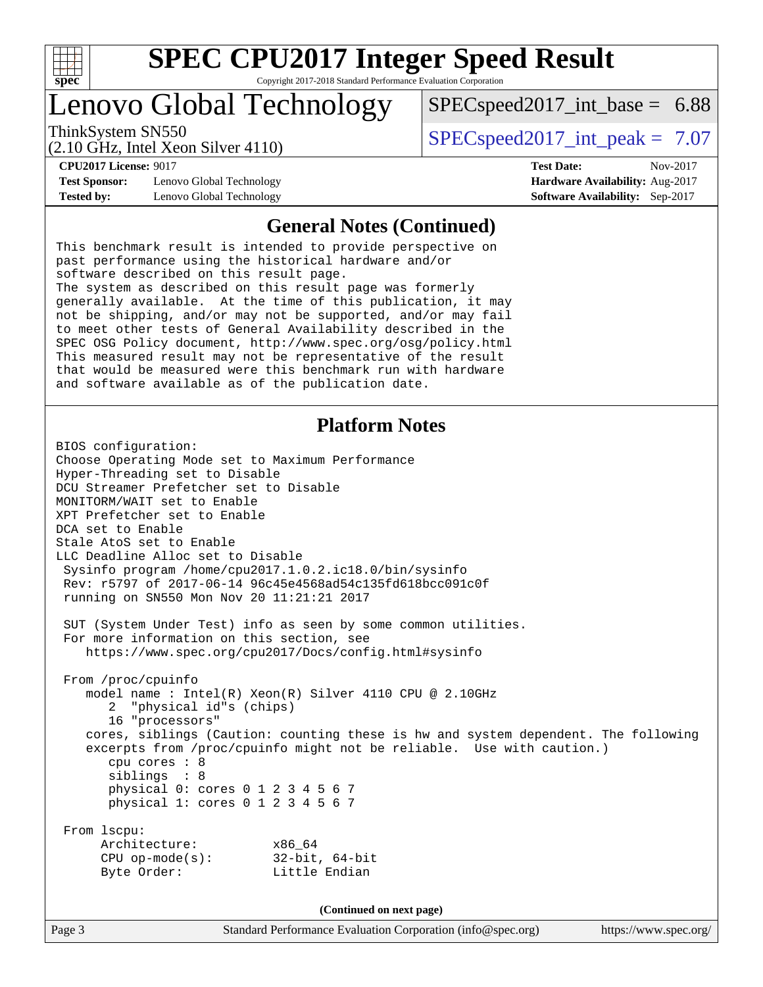

### Lenovo Global Technology

ThinkSystem SN550  $SPEC speed2017$  int peak = 7.07

 $SPECspeed2017\_int\_base = 6.88$ 

(2.10 GHz, Intel Xeon Silver 4110)

**[CPU2017 License:](http://www.spec.org/auto/cpu2017/Docs/result-fields.html#CPU2017License)** 9017 **[Test Date:](http://www.spec.org/auto/cpu2017/Docs/result-fields.html#TestDate)** Nov-2017 **[Test Sponsor:](http://www.spec.org/auto/cpu2017/Docs/result-fields.html#TestSponsor)** Lenovo Global Technology **[Hardware Availability:](http://www.spec.org/auto/cpu2017/Docs/result-fields.html#HardwareAvailability)** Aug-2017

#### **[General Notes \(Continued\)](http://www.spec.org/auto/cpu2017/Docs/result-fields.html#GeneralNotes)**

**[Tested by:](http://www.spec.org/auto/cpu2017/Docs/result-fields.html#Testedby)** Lenovo Global Technology **[Software Availability:](http://www.spec.org/auto/cpu2017/Docs/result-fields.html#SoftwareAvailability)** Sep-2017

This benchmark result is intended to provide perspective on past performance using the historical hardware and/or software described on this result page. The system as described on this result page was formerly generally available. At the time of this publication, it may not be shipping, and/or may not be supported, and/or may fail to meet other tests of General Availability described in the SPEC OSG Policy document, <http://www.spec.org/osg/policy.html> This measured result may not be representative of the result that would be measured were this benchmark run with hardware and software available as of the publication date.

#### **[Platform Notes](http://www.spec.org/auto/cpu2017/Docs/result-fields.html#PlatformNotes)**

BIOS configuration: Choose Operating Mode set to Maximum Performance Hyper-Threading set to Disable DCU Streamer Prefetcher set to Disable MONITORM/WAIT set to Enable XPT Prefetcher set to Enable DCA set to Enable Stale AtoS set to Enable LLC Deadline Alloc set to Disable Sysinfo program /home/cpu2017.1.0.2.ic18.0/bin/sysinfo Rev: r5797 of 2017-06-14 96c45e4568ad54c135fd618bcc091c0f running on SN550 Mon Nov 20 11:21:21 2017 SUT (System Under Test) info as seen by some common utilities. For more information on this section, see <https://www.spec.org/cpu2017/Docs/config.html#sysinfo> From /proc/cpuinfo model name : Intel(R) Xeon(R) Silver 4110 CPU @ 2.10GHz 2 "physical id"s (chips) 16 "processors" cores, siblings (Caution: counting these is hw and system dependent. The following excerpts from /proc/cpuinfo might not be reliable. Use with caution.) cpu cores : 8 siblings : 8 physical 0: cores 0 1 2 3 4 5 6 7 physical 1: cores 0 1 2 3 4 5 6 7 From lscpu: Architecture: x86\_64 CPU op-mode(s): 32-bit, 64-bit Byte Order: Little Endian **(Continued on next page)**

Page 3 Standard Performance Evaluation Corporation [\(info@spec.org\)](mailto:info@spec.org) <https://www.spec.org/>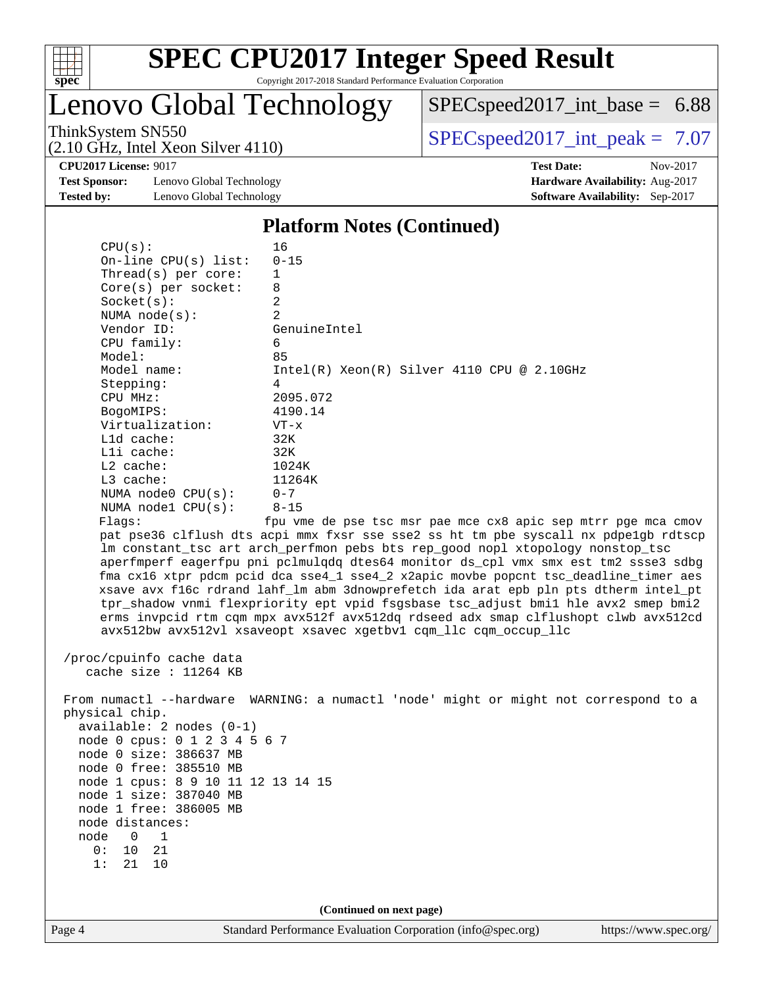

Lenovo Global Technology

[SPECspeed2017\\_int\\_base =](http://www.spec.org/auto/cpu2017/Docs/result-fields.html#SPECspeed2017intbase) 6.88

(2.10 GHz, Intel Xeon Silver 4110)

ThinkSystem SN550<br>  $(2.10 \text{ GHz. Intel Yoon Silver } 4110)$  [SPECspeed2017\\_int\\_peak =](http://www.spec.org/auto/cpu2017/Docs/result-fields.html#SPECspeed2017intpeak) 7.07

**[Test Sponsor:](http://www.spec.org/auto/cpu2017/Docs/result-fields.html#TestSponsor)** Lenovo Global Technology **[Hardware Availability:](http://www.spec.org/auto/cpu2017/Docs/result-fields.html#HardwareAvailability)** Aug-2017 **[Tested by:](http://www.spec.org/auto/cpu2017/Docs/result-fields.html#Testedby)** Lenovo Global Technology **[Software Availability:](http://www.spec.org/auto/cpu2017/Docs/result-fields.html#SoftwareAvailability)** Sep-2017

**[CPU2017 License:](http://www.spec.org/auto/cpu2017/Docs/result-fields.html#CPU2017License)** 9017 **[Test Date:](http://www.spec.org/auto/cpu2017/Docs/result-fields.html#TestDate)** Nov-2017

#### **[Platform Notes \(Continued\)](http://www.spec.org/auto/cpu2017/Docs/result-fields.html#PlatformNotes)**

|                                                                                                                                                                                                                                                                                                                                                                                         | (Continued on next page)                                                                                                                                                                                                                                                                                                                                                                                                                                                                                                                                                                                                                                                                                                                                                                                                                                                                                                                                                             |
|-----------------------------------------------------------------------------------------------------------------------------------------------------------------------------------------------------------------------------------------------------------------------------------------------------------------------------------------------------------------------------------------|--------------------------------------------------------------------------------------------------------------------------------------------------------------------------------------------------------------------------------------------------------------------------------------------------------------------------------------------------------------------------------------------------------------------------------------------------------------------------------------------------------------------------------------------------------------------------------------------------------------------------------------------------------------------------------------------------------------------------------------------------------------------------------------------------------------------------------------------------------------------------------------------------------------------------------------------------------------------------------------|
| cache size : 11264 KB<br>physical chip.<br>available: 2 nodes (0-1)<br>node 0 cpus: 0 1 2 3 4 5 6 7<br>node 0 size: 386637 MB<br>node 0 free: 385510 MB<br>node 1 cpus: 8 9 10 11 12 13 14 15<br>node 1 size: 387040 MB<br>node 1 free: 386005 MB<br>node distances:<br>node<br>$0\qquad1$<br>0: 10 21<br>1:<br>21 10                                                                   | From numactl --hardware WARNING: a numactl 'node' might or might not correspond to a                                                                                                                                                                                                                                                                                                                                                                                                                                                                                                                                                                                                                                                                                                                                                                                                                                                                                                 |
| CPU(s):<br>On-line CPU(s) list:<br>Thread( $s$ ) per core:<br>$Core(s)$ per socket:<br>Socket(s):<br>NUMA $node(s)$ :<br>Vendor ID:<br>CPU family:<br>Model:<br>Model name:<br>Stepping:<br>CPU MHz:<br>BogoMIPS:<br>Virtualization:<br>L1d cache:<br>$L1i$ cache:<br>L2 cache:<br>L3 cache:<br>NUMA $node0$ $CPU(s)$ :<br>NUMA $node1$ $CPU(s):$<br>Flags:<br>/proc/cpuinfo cache data | 16<br>$0 - 15$<br>$\mathbf 1$<br>8<br>2<br>2<br>GenuineIntel<br>6<br>85<br>$Intel(R) Xeon(R) Silver 4110 CPU @ 2.10GHz$<br>4<br>2095.072<br>4190.14<br>$VT - x$<br>32K<br>32K<br>1024K<br>11264K<br>$0 - 7$<br>$8 - 15$<br>fpu vme de pse tsc msr pae mce cx8 apic sep mtrr pge mca cmov<br>pat pse36 clflush dts acpi mmx fxsr sse sse2 ss ht tm pbe syscall nx pdpe1gb rdtscp<br>lm constant_tsc art arch_perfmon pebs bts rep_good nopl xtopology nonstop_tsc<br>aperfmperf eagerfpu pni pclmulqdq dtes64 monitor ds_cpl vmx smx est tm2 ssse3 sdbg<br>fma cx16 xtpr pdcm pcid dca sse4_1 sse4_2 x2apic movbe popcnt tsc_deadline_timer aes<br>xsave avx f16c rdrand lahf_lm abm 3dnowprefetch ida arat epb pln pts dtherm intel_pt<br>tpr_shadow vnmi flexpriority ept vpid fsgsbase tsc_adjust bmil hle avx2 smep bmi2<br>erms invpcid rtm cqm mpx avx512f avx512dq rdseed adx smap clflushopt clwb avx512cd<br>avx512bw avx512vl xsaveopt xsavec xgetbvl cqm_llc cqm_occup_llc |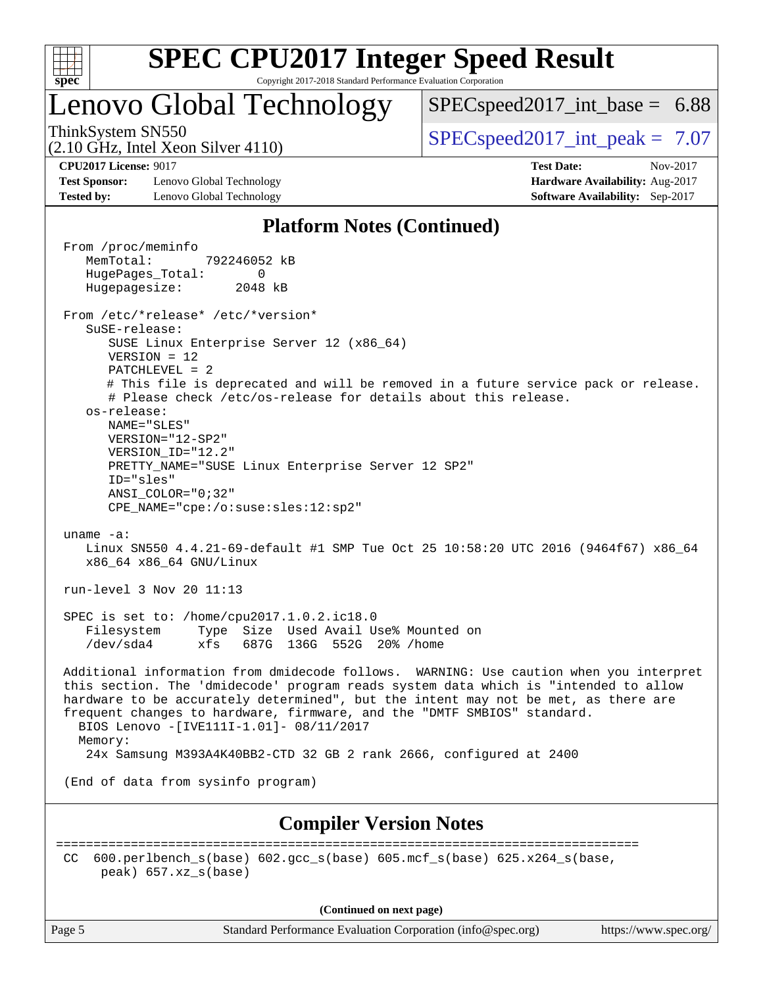

### Lenovo Global Technology

 $SPECspeed2017\_int\_base = 6.88$ 

(2.10 GHz, Intel Xeon Silver 4110)

ThinkSystem SN550  $SPEC speed2017$  int peak = 7.07

**[Test Sponsor:](http://www.spec.org/auto/cpu2017/Docs/result-fields.html#TestSponsor)** Lenovo Global Technology **[Hardware Availability:](http://www.spec.org/auto/cpu2017/Docs/result-fields.html#HardwareAvailability)** Aug-2017 **[Tested by:](http://www.spec.org/auto/cpu2017/Docs/result-fields.html#Testedby)** Lenovo Global Technology **[Software Availability:](http://www.spec.org/auto/cpu2017/Docs/result-fields.html#SoftwareAvailability)** Sep-2017

**[CPU2017 License:](http://www.spec.org/auto/cpu2017/Docs/result-fields.html#CPU2017License)** 9017 **[Test Date:](http://www.spec.org/auto/cpu2017/Docs/result-fields.html#TestDate)** Nov-2017

#### **[Platform Notes \(Continued\)](http://www.spec.org/auto/cpu2017/Docs/result-fields.html#PlatformNotes)**

 From /proc/meminfo MemTotal: 792246052 kB HugePages\_Total: 0 Hugepagesize: 2048 kB From /etc/\*release\* /etc/\*version\* SuSE-release: SUSE Linux Enterprise Server 12 (x86\_64) VERSION = 12 PATCHLEVEL = 2 # This file is deprecated and will be removed in a future service pack or release. # Please check /etc/os-release for details about this release. os-release: NAME="SLES" VERSION="12-SP2" VERSION\_ID="12.2" PRETTY\_NAME="SUSE Linux Enterprise Server 12 SP2" ID="sles" ANSI\_COLOR="0;32" CPE\_NAME="cpe:/o:suse:sles:12:sp2" uname -a: Linux SN550 4.4.21-69-default #1 SMP Tue Oct 25 10:58:20 UTC 2016 (9464f67) x86\_64 x86\_64 x86\_64 GNU/Linux run-level 3 Nov 20 11:13 SPEC is set to: /home/cpu2017.1.0.2.ic18.0 Filesystem Type Size Used Avail Use% Mounted on /dev/sda4 xfs 687G 136G 552G 20% /home Additional information from dmidecode follows. WARNING: Use caution when you interpret this section. The 'dmidecode' program reads system data which is "intended to allow hardware to be accurately determined", but the intent may not be met, as there are frequent changes to hardware, firmware, and the "DMTF SMBIOS" standard. BIOS Lenovo -[IVE111I-1.01]- 08/11/2017 Memory: 24x Samsung M393A4K40BB2-CTD 32 GB 2 rank 2666, configured at 2400 (End of data from sysinfo program) **[Compiler Version Notes](http://www.spec.org/auto/cpu2017/Docs/result-fields.html#CompilerVersionNotes)** ============================================================================== CC 600.perlbench  $s(base)$  602.gcc  $s(base)$  605.mcf  $s(base)$  625.x264  $s(base)$ peak) 657.xz\_s(base)

**(Continued on next page)**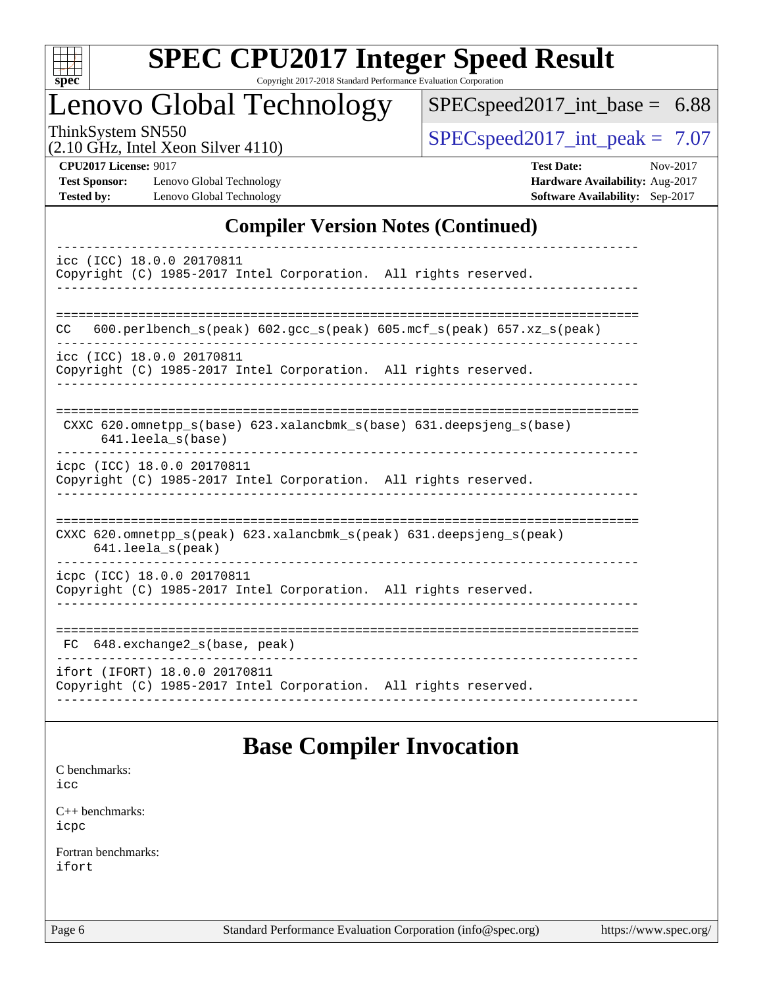

# **[SPEC CPU2017 Integer Speed Result](http://www.spec.org/auto/cpu2017/Docs/result-fields.html#SPECCPU2017IntegerSpeedResult)**

Copyright 2017-2018 Standard Performance Evaluation Corporation

### Lenovo Global Technology

[SPECspeed2017\\_int\\_base =](http://www.spec.org/auto/cpu2017/Docs/result-fields.html#SPECspeed2017intbase) 6.88

(2.10 GHz, Intel Xeon Silver 4110)

ThinkSystem SN550<br>  $\begin{array}{|l|}\n\hline\n\text{ShinkSystem} & \text{SDEC speed2017\_int\_peak} = 7.07\n\end{array}$ 

**[Test Sponsor:](http://www.spec.org/auto/cpu2017/Docs/result-fields.html#TestSponsor)** Lenovo Global Technology **[Hardware Availability:](http://www.spec.org/auto/cpu2017/Docs/result-fields.html#HardwareAvailability)** Aug-2017 **[Tested by:](http://www.spec.org/auto/cpu2017/Docs/result-fields.html#Testedby)** Lenovo Global Technology **[Software Availability:](http://www.spec.org/auto/cpu2017/Docs/result-fields.html#SoftwareAvailability)** Sep-2017

**[CPU2017 License:](http://www.spec.org/auto/cpu2017/Docs/result-fields.html#CPU2017License)** 9017 **[Test Date:](http://www.spec.org/auto/cpu2017/Docs/result-fields.html#TestDate)** Nov-2017

### **[Compiler Version Notes \(Continued\)](http://www.spec.org/auto/cpu2017/Docs/result-fields.html#CompilerVersionNotes)**

| icc (ICC) 18.0.0 20170811                                                                    |
|----------------------------------------------------------------------------------------------|
| Copyright (C) 1985-2017 Intel Corporation. All rights reserved.                              |
|                                                                                              |
|                                                                                              |
|                                                                                              |
| $600. perlbench_s (peak) 602. gcc_s (peak) 605. mcf_s (peak) 657. xz_s (peak)$<br>CC.        |
| icc (ICC) 18.0.0 20170811                                                                    |
| Copyright (C) 1985-2017 Intel Corporation. All rights reserved.                              |
|                                                                                              |
|                                                                                              |
|                                                                                              |
| CXXC 620.omnetpp_s(base) 623.xalancbmk_s(base) 631.deepsjeng_s(base)<br>$641.$ leela_s(base) |
|                                                                                              |
| icpc (ICC) 18.0.0 20170811                                                                   |
| Copyright (C) 1985-2017 Intel Corporation. All rights reserved.                              |
|                                                                                              |
|                                                                                              |
| CXXC 620.omnetpp_s(peak) 623.xalancbmk_s(peak) 631.deepsjeng_s(peak)                         |
| $641.$ leela_s(peak)                                                                         |
|                                                                                              |
| icpc (ICC) 18.0.0 20170811                                                                   |
| Copyright (C) 1985-2017 Intel Corporation. All rights reserved.                              |
|                                                                                              |
|                                                                                              |
| 648.exchange2_s(base, peak)<br>FC.                                                           |
|                                                                                              |
| ifort (IFORT) 18.0.0 20170811                                                                |
| Copyright (C) 1985-2017 Intel Corporation. All rights reserved.                              |
|                                                                                              |

### **[Base Compiler Invocation](http://www.spec.org/auto/cpu2017/Docs/result-fields.html#BaseCompilerInvocation)**

[C benchmarks](http://www.spec.org/auto/cpu2017/Docs/result-fields.html#Cbenchmarks):

[icc](http://www.spec.org/cpu2017/results/res2018q1/cpu2017-20180122-03025.flags.html#user_CCbase_intel_icc_18.0_66fc1ee009f7361af1fbd72ca7dcefbb700085f36577c54f309893dd4ec40d12360134090235512931783d35fd58c0460139e722d5067c5574d8eaf2b3e37e92)

[C++ benchmarks:](http://www.spec.org/auto/cpu2017/Docs/result-fields.html#CXXbenchmarks) [icpc](http://www.spec.org/cpu2017/results/res2018q1/cpu2017-20180122-03025.flags.html#user_CXXbase_intel_icpc_18.0_c510b6838c7f56d33e37e94d029a35b4a7bccf4766a728ee175e80a419847e808290a9b78be685c44ab727ea267ec2f070ec5dc83b407c0218cded6866a35d07)

[Fortran benchmarks](http://www.spec.org/auto/cpu2017/Docs/result-fields.html#Fortranbenchmarks): [ifort](http://www.spec.org/cpu2017/results/res2018q1/cpu2017-20180122-03025.flags.html#user_FCbase_intel_ifort_18.0_8111460550e3ca792625aed983ce982f94888b8b503583aa7ba2b8303487b4d8a21a13e7191a45c5fd58ff318f48f9492884d4413fa793fd88dd292cad7027ca)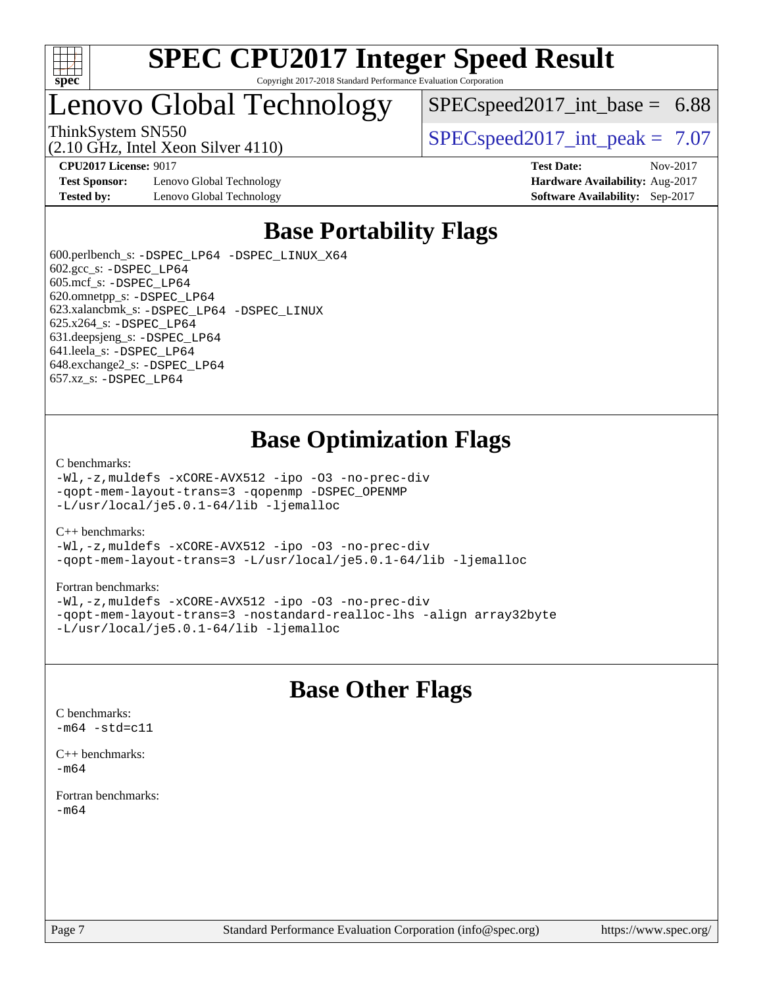

### Lenovo Global Technology

 $SPEC speed2017\_int\_base = 6.88$ 

ThinkSystem SN550  $SPEC speed2017$  int peak = 7.07

**[Test Sponsor:](http://www.spec.org/auto/cpu2017/Docs/result-fields.html#TestSponsor)** Lenovo Global Technology **[Hardware Availability:](http://www.spec.org/auto/cpu2017/Docs/result-fields.html#HardwareAvailability)** Aug-2017 **[Tested by:](http://www.spec.org/auto/cpu2017/Docs/result-fields.html#Testedby)** Lenovo Global Technology **[Software Availability:](http://www.spec.org/auto/cpu2017/Docs/result-fields.html#SoftwareAvailability)** Sep-2017

(2.10 GHz, Intel Xeon Silver 4110)

**[CPU2017 License:](http://www.spec.org/auto/cpu2017/Docs/result-fields.html#CPU2017License)** 9017 **[Test Date:](http://www.spec.org/auto/cpu2017/Docs/result-fields.html#TestDate)** Nov-2017

### **[Base Portability Flags](http://www.spec.org/auto/cpu2017/Docs/result-fields.html#BasePortabilityFlags)**

 600.perlbench\_s: [-DSPEC\\_LP64](http://www.spec.org/cpu2017/results/res2018q1/cpu2017-20180122-03025.flags.html#b600.perlbench_s_basePORTABILITY_DSPEC_LP64) [-DSPEC\\_LINUX\\_X64](http://www.spec.org/cpu2017/results/res2018q1/cpu2017-20180122-03025.flags.html#b600.perlbench_s_baseCPORTABILITY_DSPEC_LINUX_X64) 602.gcc\_s: [-DSPEC\\_LP64](http://www.spec.org/cpu2017/results/res2018q1/cpu2017-20180122-03025.flags.html#suite_basePORTABILITY602_gcc_s_DSPEC_LP64) 605.mcf\_s: [-DSPEC\\_LP64](http://www.spec.org/cpu2017/results/res2018q1/cpu2017-20180122-03025.flags.html#suite_basePORTABILITY605_mcf_s_DSPEC_LP64) 620.omnetpp\_s: [-DSPEC\\_LP64](http://www.spec.org/cpu2017/results/res2018q1/cpu2017-20180122-03025.flags.html#suite_basePORTABILITY620_omnetpp_s_DSPEC_LP64) 623.xalancbmk\_s: [-DSPEC\\_LP64](http://www.spec.org/cpu2017/results/res2018q1/cpu2017-20180122-03025.flags.html#suite_basePORTABILITY623_xalancbmk_s_DSPEC_LP64) [-DSPEC\\_LINUX](http://www.spec.org/cpu2017/results/res2018q1/cpu2017-20180122-03025.flags.html#b623.xalancbmk_s_baseCXXPORTABILITY_DSPEC_LINUX) 625.x264\_s: [-DSPEC\\_LP64](http://www.spec.org/cpu2017/results/res2018q1/cpu2017-20180122-03025.flags.html#suite_basePORTABILITY625_x264_s_DSPEC_LP64) 631.deepsjeng\_s: [-DSPEC\\_LP64](http://www.spec.org/cpu2017/results/res2018q1/cpu2017-20180122-03025.flags.html#suite_basePORTABILITY631_deepsjeng_s_DSPEC_LP64) 641.leela\_s: [-DSPEC\\_LP64](http://www.spec.org/cpu2017/results/res2018q1/cpu2017-20180122-03025.flags.html#suite_basePORTABILITY641_leela_s_DSPEC_LP64) 648.exchange2\_s: [-DSPEC\\_LP64](http://www.spec.org/cpu2017/results/res2018q1/cpu2017-20180122-03025.flags.html#suite_basePORTABILITY648_exchange2_s_DSPEC_LP64) 657.xz\_s: [-DSPEC\\_LP64](http://www.spec.org/cpu2017/results/res2018q1/cpu2017-20180122-03025.flags.html#suite_basePORTABILITY657_xz_s_DSPEC_LP64)

### **[Base Optimization Flags](http://www.spec.org/auto/cpu2017/Docs/result-fields.html#BaseOptimizationFlags)**

#### [C benchmarks](http://www.spec.org/auto/cpu2017/Docs/result-fields.html#Cbenchmarks):

[-Wl,-z,muldefs](http://www.spec.org/cpu2017/results/res2018q1/cpu2017-20180122-03025.flags.html#user_CCbase_link_force_multiple1_b4cbdb97b34bdee9ceefcfe54f4c8ea74255f0b02a4b23e853cdb0e18eb4525ac79b5a88067c842dd0ee6996c24547a27a4b99331201badda8798ef8a743f577) [-xCORE-AVX512](http://www.spec.org/cpu2017/results/res2018q1/cpu2017-20180122-03025.flags.html#user_CCbase_f-xCORE-AVX512) [-ipo](http://www.spec.org/cpu2017/results/res2018q1/cpu2017-20180122-03025.flags.html#user_CCbase_f-ipo) [-O3](http://www.spec.org/cpu2017/results/res2018q1/cpu2017-20180122-03025.flags.html#user_CCbase_f-O3) [-no-prec-div](http://www.spec.org/cpu2017/results/res2018q1/cpu2017-20180122-03025.flags.html#user_CCbase_f-no-prec-div) [-qopt-mem-layout-trans=3](http://www.spec.org/cpu2017/results/res2018q1/cpu2017-20180122-03025.flags.html#user_CCbase_f-qopt-mem-layout-trans_de80db37974c74b1f0e20d883f0b675c88c3b01e9d123adea9b28688d64333345fb62bc4a798493513fdb68f60282f9a726aa07f478b2f7113531aecce732043) [-qopenmp](http://www.spec.org/cpu2017/results/res2018q1/cpu2017-20180122-03025.flags.html#user_CCbase_qopenmp_16be0c44f24f464004c6784a7acb94aca937f053568ce72f94b139a11c7c168634a55f6653758ddd83bcf7b8463e8028bb0b48b77bcddc6b78d5d95bb1df2967) [-DSPEC\\_OPENMP](http://www.spec.org/cpu2017/results/res2018q1/cpu2017-20180122-03025.flags.html#suite_CCbase_DSPEC_OPENMP) [-L/usr/local/je5.0.1-64/lib](http://www.spec.org/cpu2017/results/res2018q1/cpu2017-20180122-03025.flags.html#user_CCbase_jemalloc_link_path64_4b10a636b7bce113509b17f3bd0d6226c5fb2346b9178c2d0232c14f04ab830f976640479e5c33dc2bcbbdad86ecfb6634cbbd4418746f06f368b512fced5394) [-ljemalloc](http://www.spec.org/cpu2017/results/res2018q1/cpu2017-20180122-03025.flags.html#user_CCbase_jemalloc_link_lib_d1249b907c500fa1c0672f44f562e3d0f79738ae9e3c4a9c376d49f265a04b9c99b167ecedbf6711b3085be911c67ff61f150a17b3472be731631ba4d0471706)

#### [C++ benchmarks:](http://www.spec.org/auto/cpu2017/Docs/result-fields.html#CXXbenchmarks)

[-Wl,-z,muldefs](http://www.spec.org/cpu2017/results/res2018q1/cpu2017-20180122-03025.flags.html#user_CXXbase_link_force_multiple1_b4cbdb97b34bdee9ceefcfe54f4c8ea74255f0b02a4b23e853cdb0e18eb4525ac79b5a88067c842dd0ee6996c24547a27a4b99331201badda8798ef8a743f577) [-xCORE-AVX512](http://www.spec.org/cpu2017/results/res2018q1/cpu2017-20180122-03025.flags.html#user_CXXbase_f-xCORE-AVX512) [-ipo](http://www.spec.org/cpu2017/results/res2018q1/cpu2017-20180122-03025.flags.html#user_CXXbase_f-ipo) [-O3](http://www.spec.org/cpu2017/results/res2018q1/cpu2017-20180122-03025.flags.html#user_CXXbase_f-O3) [-no-prec-div](http://www.spec.org/cpu2017/results/res2018q1/cpu2017-20180122-03025.flags.html#user_CXXbase_f-no-prec-div) [-qopt-mem-layout-trans=3](http://www.spec.org/cpu2017/results/res2018q1/cpu2017-20180122-03025.flags.html#user_CXXbase_f-qopt-mem-layout-trans_de80db37974c74b1f0e20d883f0b675c88c3b01e9d123adea9b28688d64333345fb62bc4a798493513fdb68f60282f9a726aa07f478b2f7113531aecce732043) [-L/usr/local/je5.0.1-64/lib](http://www.spec.org/cpu2017/results/res2018q1/cpu2017-20180122-03025.flags.html#user_CXXbase_jemalloc_link_path64_4b10a636b7bce113509b17f3bd0d6226c5fb2346b9178c2d0232c14f04ab830f976640479e5c33dc2bcbbdad86ecfb6634cbbd4418746f06f368b512fced5394) [-ljemalloc](http://www.spec.org/cpu2017/results/res2018q1/cpu2017-20180122-03025.flags.html#user_CXXbase_jemalloc_link_lib_d1249b907c500fa1c0672f44f562e3d0f79738ae9e3c4a9c376d49f265a04b9c99b167ecedbf6711b3085be911c67ff61f150a17b3472be731631ba4d0471706)

#### [Fortran benchmarks](http://www.spec.org/auto/cpu2017/Docs/result-fields.html#Fortranbenchmarks):

[-Wl,-z,muldefs](http://www.spec.org/cpu2017/results/res2018q1/cpu2017-20180122-03025.flags.html#user_FCbase_link_force_multiple1_b4cbdb97b34bdee9ceefcfe54f4c8ea74255f0b02a4b23e853cdb0e18eb4525ac79b5a88067c842dd0ee6996c24547a27a4b99331201badda8798ef8a743f577) [-xCORE-AVX512](http://www.spec.org/cpu2017/results/res2018q1/cpu2017-20180122-03025.flags.html#user_FCbase_f-xCORE-AVX512) [-ipo](http://www.spec.org/cpu2017/results/res2018q1/cpu2017-20180122-03025.flags.html#user_FCbase_f-ipo) [-O3](http://www.spec.org/cpu2017/results/res2018q1/cpu2017-20180122-03025.flags.html#user_FCbase_f-O3) [-no-prec-div](http://www.spec.org/cpu2017/results/res2018q1/cpu2017-20180122-03025.flags.html#user_FCbase_f-no-prec-div) [-qopt-mem-layout-trans=3](http://www.spec.org/cpu2017/results/res2018q1/cpu2017-20180122-03025.flags.html#user_FCbase_f-qopt-mem-layout-trans_de80db37974c74b1f0e20d883f0b675c88c3b01e9d123adea9b28688d64333345fb62bc4a798493513fdb68f60282f9a726aa07f478b2f7113531aecce732043) [-nostandard-realloc-lhs](http://www.spec.org/cpu2017/results/res2018q1/cpu2017-20180122-03025.flags.html#user_FCbase_f_2003_std_realloc_82b4557e90729c0f113870c07e44d33d6f5a304b4f63d4c15d2d0f1fab99f5daaed73bdb9275d9ae411527f28b936061aa8b9c8f2d63842963b95c9dd6426b8a) [-align array32byte](http://www.spec.org/cpu2017/results/res2018q1/cpu2017-20180122-03025.flags.html#user_FCbase_align_array32byte_b982fe038af199962ba9a80c053b8342c548c85b40b8e86eb3cc33dee0d7986a4af373ac2d51c3f7cf710a18d62fdce2948f201cd044323541f22fc0fffc51b6) [-L/usr/local/je5.0.1-64/lib](http://www.spec.org/cpu2017/results/res2018q1/cpu2017-20180122-03025.flags.html#user_FCbase_jemalloc_link_path64_4b10a636b7bce113509b17f3bd0d6226c5fb2346b9178c2d0232c14f04ab830f976640479e5c33dc2bcbbdad86ecfb6634cbbd4418746f06f368b512fced5394) [-ljemalloc](http://www.spec.org/cpu2017/results/res2018q1/cpu2017-20180122-03025.flags.html#user_FCbase_jemalloc_link_lib_d1249b907c500fa1c0672f44f562e3d0f79738ae9e3c4a9c376d49f265a04b9c99b167ecedbf6711b3085be911c67ff61f150a17b3472be731631ba4d0471706)

### **[Base Other Flags](http://www.spec.org/auto/cpu2017/Docs/result-fields.html#BaseOtherFlags)**

[C benchmarks](http://www.spec.org/auto/cpu2017/Docs/result-fields.html#Cbenchmarks):  $-m64 - std= c11$  $-m64 - std= c11$ 

[C++ benchmarks:](http://www.spec.org/auto/cpu2017/Docs/result-fields.html#CXXbenchmarks) [-m64](http://www.spec.org/cpu2017/results/res2018q1/cpu2017-20180122-03025.flags.html#user_CXXbase_intel_intel64_18.0_af43caccfc8ded86e7699f2159af6efc7655f51387b94da716254467f3c01020a5059329e2569e4053f409e7c9202a7efc638f7a6d1ffb3f52dea4a3e31d82ab)

[Fortran benchmarks](http://www.spec.org/auto/cpu2017/Docs/result-fields.html#Fortranbenchmarks): [-m64](http://www.spec.org/cpu2017/results/res2018q1/cpu2017-20180122-03025.flags.html#user_FCbase_intel_intel64_18.0_af43caccfc8ded86e7699f2159af6efc7655f51387b94da716254467f3c01020a5059329e2569e4053f409e7c9202a7efc638f7a6d1ffb3f52dea4a3e31d82ab)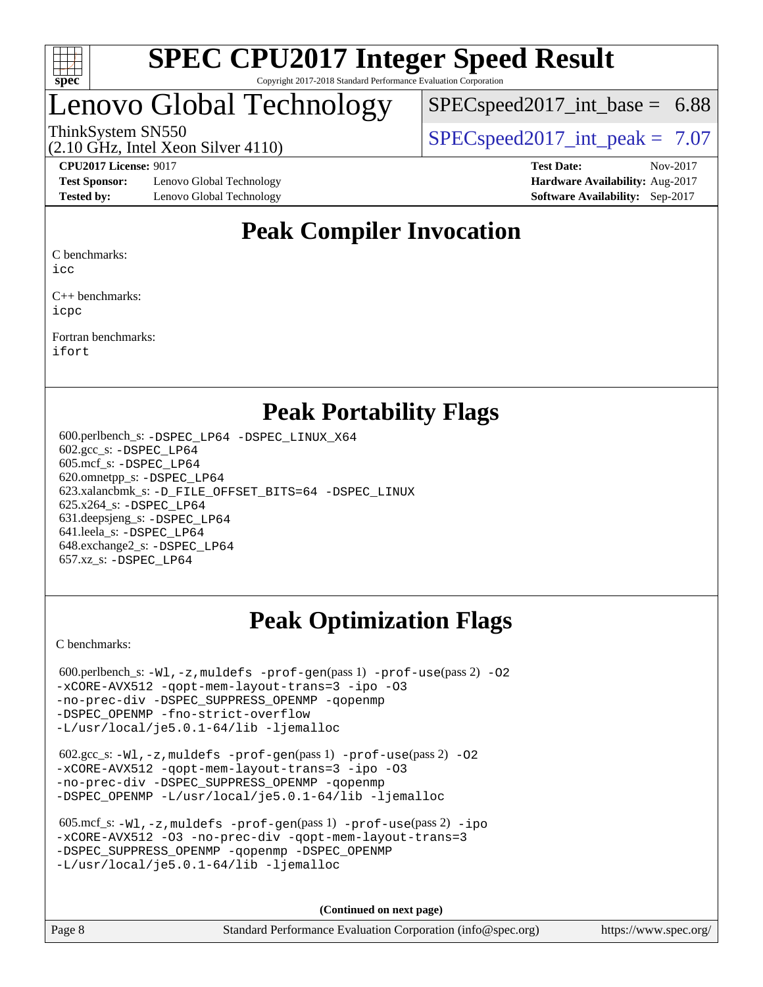

## enovo Global Technology

 $SPECspeed2017\_int\_base = 6.88$ 

ThinkSystem SN550  $SPEC speed2017$  int peak = 7.07

**[Test Sponsor:](http://www.spec.org/auto/cpu2017/Docs/result-fields.html#TestSponsor)** Lenovo Global Technology **[Hardware Availability:](http://www.spec.org/auto/cpu2017/Docs/result-fields.html#HardwareAvailability)** Aug-2017 **[Tested by:](http://www.spec.org/auto/cpu2017/Docs/result-fields.html#Testedby)** Lenovo Global Technology **[Software Availability:](http://www.spec.org/auto/cpu2017/Docs/result-fields.html#SoftwareAvailability)** Sep-2017

(2.10 GHz, Intel Xeon Silver 4110)

**[CPU2017 License:](http://www.spec.org/auto/cpu2017/Docs/result-fields.html#CPU2017License)** 9017 **[Test Date:](http://www.spec.org/auto/cpu2017/Docs/result-fields.html#TestDate)** Nov-2017

### **[Peak Compiler Invocation](http://www.spec.org/auto/cpu2017/Docs/result-fields.html#PeakCompilerInvocation)**

[C benchmarks](http://www.spec.org/auto/cpu2017/Docs/result-fields.html#Cbenchmarks):

[icc](http://www.spec.org/cpu2017/results/res2018q1/cpu2017-20180122-03025.flags.html#user_CCpeak_intel_icc_18.0_66fc1ee009f7361af1fbd72ca7dcefbb700085f36577c54f309893dd4ec40d12360134090235512931783d35fd58c0460139e722d5067c5574d8eaf2b3e37e92)

[C++ benchmarks:](http://www.spec.org/auto/cpu2017/Docs/result-fields.html#CXXbenchmarks) [icpc](http://www.spec.org/cpu2017/results/res2018q1/cpu2017-20180122-03025.flags.html#user_CXXpeak_intel_icpc_18.0_c510b6838c7f56d33e37e94d029a35b4a7bccf4766a728ee175e80a419847e808290a9b78be685c44ab727ea267ec2f070ec5dc83b407c0218cded6866a35d07)

[Fortran benchmarks](http://www.spec.org/auto/cpu2017/Docs/result-fields.html#Fortranbenchmarks): [ifort](http://www.spec.org/cpu2017/results/res2018q1/cpu2017-20180122-03025.flags.html#user_FCpeak_intel_ifort_18.0_8111460550e3ca792625aed983ce982f94888b8b503583aa7ba2b8303487b4d8a21a13e7191a45c5fd58ff318f48f9492884d4413fa793fd88dd292cad7027ca)

### **[Peak Portability Flags](http://www.spec.org/auto/cpu2017/Docs/result-fields.html#PeakPortabilityFlags)**

 600.perlbench\_s: [-DSPEC\\_LP64](http://www.spec.org/cpu2017/results/res2018q1/cpu2017-20180122-03025.flags.html#b600.perlbench_s_peakPORTABILITY_DSPEC_LP64) [-DSPEC\\_LINUX\\_X64](http://www.spec.org/cpu2017/results/res2018q1/cpu2017-20180122-03025.flags.html#b600.perlbench_s_peakCPORTABILITY_DSPEC_LINUX_X64) 602.gcc\_s: [-DSPEC\\_LP64](http://www.spec.org/cpu2017/results/res2018q1/cpu2017-20180122-03025.flags.html#suite_peakPORTABILITY602_gcc_s_DSPEC_LP64) 605.mcf\_s: [-DSPEC\\_LP64](http://www.spec.org/cpu2017/results/res2018q1/cpu2017-20180122-03025.flags.html#suite_peakPORTABILITY605_mcf_s_DSPEC_LP64) 620.omnetpp\_s: [-DSPEC\\_LP64](http://www.spec.org/cpu2017/results/res2018q1/cpu2017-20180122-03025.flags.html#suite_peakPORTABILITY620_omnetpp_s_DSPEC_LP64) 623.xalancbmk\_s: [-D\\_FILE\\_OFFSET\\_BITS=64](http://www.spec.org/cpu2017/results/res2018q1/cpu2017-20180122-03025.flags.html#user_peakPORTABILITY623_xalancbmk_s_file_offset_bits_64_5ae949a99b284ddf4e95728d47cb0843d81b2eb0e18bdfe74bbf0f61d0b064f4bda2f10ea5eb90e1dcab0e84dbc592acfc5018bc955c18609f94ddb8d550002c) [-DSPEC\\_LINUX](http://www.spec.org/cpu2017/results/res2018q1/cpu2017-20180122-03025.flags.html#b623.xalancbmk_s_peakCXXPORTABILITY_DSPEC_LINUX) 625.x264\_s: [-DSPEC\\_LP64](http://www.spec.org/cpu2017/results/res2018q1/cpu2017-20180122-03025.flags.html#suite_peakPORTABILITY625_x264_s_DSPEC_LP64) 631.deepsjeng\_s: [-DSPEC\\_LP64](http://www.spec.org/cpu2017/results/res2018q1/cpu2017-20180122-03025.flags.html#suite_peakPORTABILITY631_deepsjeng_s_DSPEC_LP64) 641.leela\_s: [-DSPEC\\_LP64](http://www.spec.org/cpu2017/results/res2018q1/cpu2017-20180122-03025.flags.html#suite_peakPORTABILITY641_leela_s_DSPEC_LP64) 648.exchange2\_s: [-DSPEC\\_LP64](http://www.spec.org/cpu2017/results/res2018q1/cpu2017-20180122-03025.flags.html#suite_peakPORTABILITY648_exchange2_s_DSPEC_LP64) 657.xz\_s: [-DSPEC\\_LP64](http://www.spec.org/cpu2017/results/res2018q1/cpu2017-20180122-03025.flags.html#suite_peakPORTABILITY657_xz_s_DSPEC_LP64)

### **[Peak Optimization Flags](http://www.spec.org/auto/cpu2017/Docs/result-fields.html#PeakOptimizationFlags)**

[C benchmarks](http://www.spec.org/auto/cpu2017/Docs/result-fields.html#Cbenchmarks):

600.perlbench\_s:  $-W1$ , -z, muldefs [-prof-gen](http://www.spec.org/cpu2017/results/res2018q1/cpu2017-20180122-03025.flags.html#user_peakPASS1_CFLAGSPASS1_LDFLAGS600_perlbench_s_prof_gen_5aa4926d6013ddb2a31985c654b3eb18169fc0c6952a63635c234f711e6e63dd76e94ad52365559451ec499a2cdb89e4dc58ba4c67ef54ca681ffbe1461d6b36)(pass 1) [-prof-use](http://www.spec.org/cpu2017/results/res2018q1/cpu2017-20180122-03025.flags.html#user_peakPASS2_CFLAGSPASS2_LDFLAGS600_perlbench_s_prof_use_1a21ceae95f36a2b53c25747139a6c16ca95bd9def2a207b4f0849963b97e94f5260e30a0c64f4bb623698870e679ca08317ef8150905d41bd88c6f78df73f19)(pass 2) -02 [-xCORE-AVX512](http://www.spec.org/cpu2017/results/res2018q1/cpu2017-20180122-03025.flags.html#user_peakPASS2_COPTIMIZE600_perlbench_s_f-xCORE-AVX512) [-qopt-mem-layout-trans=3](http://www.spec.org/cpu2017/results/res2018q1/cpu2017-20180122-03025.flags.html#user_peakPASS1_COPTIMIZEPASS2_COPTIMIZE600_perlbench_s_f-qopt-mem-layout-trans_de80db37974c74b1f0e20d883f0b675c88c3b01e9d123adea9b28688d64333345fb62bc4a798493513fdb68f60282f9a726aa07f478b2f7113531aecce732043) [-ipo](http://www.spec.org/cpu2017/results/res2018q1/cpu2017-20180122-03025.flags.html#user_peakPASS2_COPTIMIZE600_perlbench_s_f-ipo) [-O3](http://www.spec.org/cpu2017/results/res2018q1/cpu2017-20180122-03025.flags.html#user_peakPASS2_COPTIMIZE600_perlbench_s_f-O3) [-no-prec-div](http://www.spec.org/cpu2017/results/res2018q1/cpu2017-20180122-03025.flags.html#user_peakPASS2_COPTIMIZE600_perlbench_s_f-no-prec-div) [-DSPEC\\_SUPPRESS\\_OPENMP](http://www.spec.org/cpu2017/results/res2018q1/cpu2017-20180122-03025.flags.html#suite_peakPASS1_COPTIMIZE600_perlbench_s_DSPEC_SUPPRESS_OPENMP) [-qopenmp](http://www.spec.org/cpu2017/results/res2018q1/cpu2017-20180122-03025.flags.html#user_peakPASS2_COPTIMIZE600_perlbench_s_qopenmp_16be0c44f24f464004c6784a7acb94aca937f053568ce72f94b139a11c7c168634a55f6653758ddd83bcf7b8463e8028bb0b48b77bcddc6b78d5d95bb1df2967) [-DSPEC\\_OPENMP](http://www.spec.org/cpu2017/results/res2018q1/cpu2017-20180122-03025.flags.html#suite_peakPASS2_COPTIMIZE600_perlbench_s_DSPEC_OPENMP) [-fno-strict-overflow](http://www.spec.org/cpu2017/results/res2018q1/cpu2017-20180122-03025.flags.html#user_peakEXTRA_OPTIMIZE600_perlbench_s_f-fno-strict-overflow) [-L/usr/local/je5.0.1-64/lib](http://www.spec.org/cpu2017/results/res2018q1/cpu2017-20180122-03025.flags.html#user_peakEXTRA_LIBS600_perlbench_s_jemalloc_link_path64_4b10a636b7bce113509b17f3bd0d6226c5fb2346b9178c2d0232c14f04ab830f976640479e5c33dc2bcbbdad86ecfb6634cbbd4418746f06f368b512fced5394) [-ljemalloc](http://www.spec.org/cpu2017/results/res2018q1/cpu2017-20180122-03025.flags.html#user_peakEXTRA_LIBS600_perlbench_s_jemalloc_link_lib_d1249b907c500fa1c0672f44f562e3d0f79738ae9e3c4a9c376d49f265a04b9c99b167ecedbf6711b3085be911c67ff61f150a17b3472be731631ba4d0471706)

 602.gcc\_s: [-Wl,-z,muldefs](http://www.spec.org/cpu2017/results/res2018q1/cpu2017-20180122-03025.flags.html#user_peakEXTRA_LDFLAGS602_gcc_s_link_force_multiple1_b4cbdb97b34bdee9ceefcfe54f4c8ea74255f0b02a4b23e853cdb0e18eb4525ac79b5a88067c842dd0ee6996c24547a27a4b99331201badda8798ef8a743f577) [-prof-gen](http://www.spec.org/cpu2017/results/res2018q1/cpu2017-20180122-03025.flags.html#user_peakPASS1_CFLAGSPASS1_LDFLAGS602_gcc_s_prof_gen_5aa4926d6013ddb2a31985c654b3eb18169fc0c6952a63635c234f711e6e63dd76e94ad52365559451ec499a2cdb89e4dc58ba4c67ef54ca681ffbe1461d6b36)(pass 1) [-prof-use](http://www.spec.org/cpu2017/results/res2018q1/cpu2017-20180122-03025.flags.html#user_peakPASS2_CFLAGSPASS2_LDFLAGS602_gcc_s_prof_use_1a21ceae95f36a2b53c25747139a6c16ca95bd9def2a207b4f0849963b97e94f5260e30a0c64f4bb623698870e679ca08317ef8150905d41bd88c6f78df73f19)(pass 2) [-O2](http://www.spec.org/cpu2017/results/res2018q1/cpu2017-20180122-03025.flags.html#user_peakPASS1_COPTIMIZE602_gcc_s_f-O2) [-xCORE-AVX512](http://www.spec.org/cpu2017/results/res2018q1/cpu2017-20180122-03025.flags.html#user_peakPASS2_COPTIMIZE602_gcc_s_f-xCORE-AVX512) [-qopt-mem-layout-trans=3](http://www.spec.org/cpu2017/results/res2018q1/cpu2017-20180122-03025.flags.html#user_peakPASS1_COPTIMIZEPASS2_COPTIMIZE602_gcc_s_f-qopt-mem-layout-trans_de80db37974c74b1f0e20d883f0b675c88c3b01e9d123adea9b28688d64333345fb62bc4a798493513fdb68f60282f9a726aa07f478b2f7113531aecce732043) [-ipo](http://www.spec.org/cpu2017/results/res2018q1/cpu2017-20180122-03025.flags.html#user_peakPASS2_COPTIMIZE602_gcc_s_f-ipo) [-O3](http://www.spec.org/cpu2017/results/res2018q1/cpu2017-20180122-03025.flags.html#user_peakPASS2_COPTIMIZE602_gcc_s_f-O3) [-no-prec-div](http://www.spec.org/cpu2017/results/res2018q1/cpu2017-20180122-03025.flags.html#user_peakPASS2_COPTIMIZE602_gcc_s_f-no-prec-div) [-DSPEC\\_SUPPRESS\\_OPENMP](http://www.spec.org/cpu2017/results/res2018q1/cpu2017-20180122-03025.flags.html#suite_peakPASS1_COPTIMIZE602_gcc_s_DSPEC_SUPPRESS_OPENMP) [-qopenmp](http://www.spec.org/cpu2017/results/res2018q1/cpu2017-20180122-03025.flags.html#user_peakPASS2_COPTIMIZE602_gcc_s_qopenmp_16be0c44f24f464004c6784a7acb94aca937f053568ce72f94b139a11c7c168634a55f6653758ddd83bcf7b8463e8028bb0b48b77bcddc6b78d5d95bb1df2967) [-DSPEC\\_OPENMP](http://www.spec.org/cpu2017/results/res2018q1/cpu2017-20180122-03025.flags.html#suite_peakPASS2_COPTIMIZE602_gcc_s_DSPEC_OPENMP) [-L/usr/local/je5.0.1-64/lib](http://www.spec.org/cpu2017/results/res2018q1/cpu2017-20180122-03025.flags.html#user_peakEXTRA_LIBS602_gcc_s_jemalloc_link_path64_4b10a636b7bce113509b17f3bd0d6226c5fb2346b9178c2d0232c14f04ab830f976640479e5c33dc2bcbbdad86ecfb6634cbbd4418746f06f368b512fced5394) [-ljemalloc](http://www.spec.org/cpu2017/results/res2018q1/cpu2017-20180122-03025.flags.html#user_peakEXTRA_LIBS602_gcc_s_jemalloc_link_lib_d1249b907c500fa1c0672f44f562e3d0f79738ae9e3c4a9c376d49f265a04b9c99b167ecedbf6711b3085be911c67ff61f150a17b3472be731631ba4d0471706)

| 605.mcf s: $-Wl$ , $-z$ , muldefs $-prof-qen(pass 1)$ $-prof-use(pass 2) -ipo$ |
|--------------------------------------------------------------------------------|
| -xCORE-AVX512 -03 -no-prec-div -gopt-mem-layout-trans=3                        |
| -DSPEC SUPPRESS OPENMP - gopenmp - DSPEC OPENMP                                |
| $-L/usr/local/ie5.0.1-64/lib -liemalloc$                                       |

**(Continued on next page)**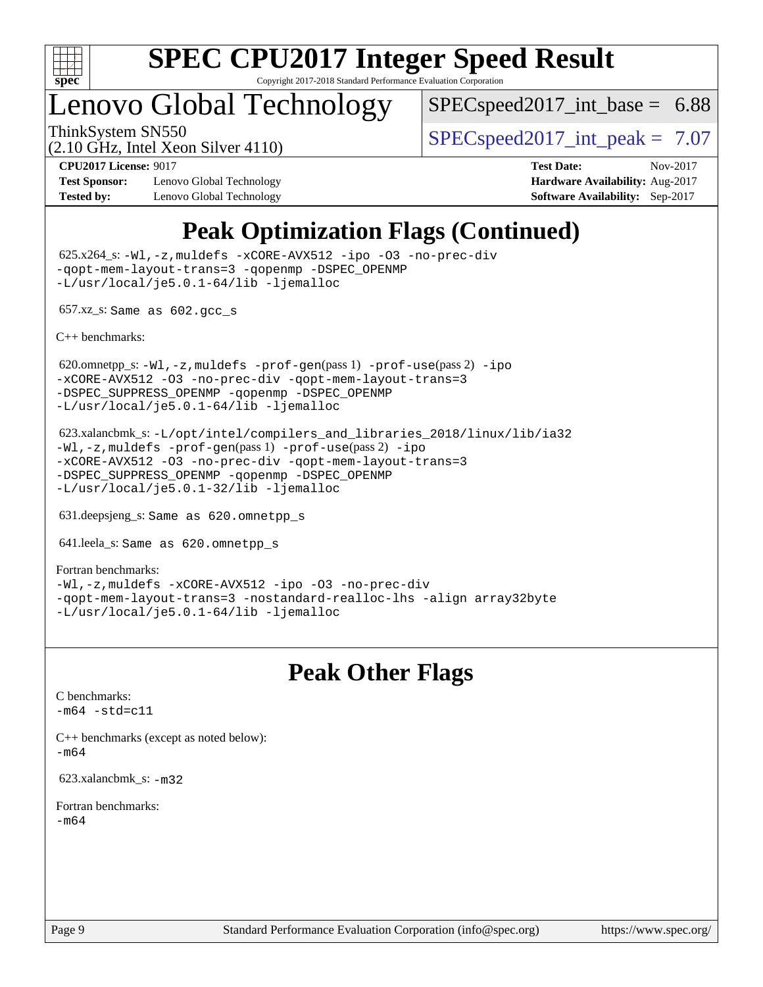

### Lenovo Global Technology

 $SPECspeed2017\_int\_base = 6.88$ 

(2.10 GHz, Intel Xeon Silver 4110)

ThinkSystem SN550  $SPEC speed2017$  int peak = 7.07

**[Test Sponsor:](http://www.spec.org/auto/cpu2017/Docs/result-fields.html#TestSponsor)** Lenovo Global Technology **[Hardware Availability:](http://www.spec.org/auto/cpu2017/Docs/result-fields.html#HardwareAvailability)** Aug-2017 **[Tested by:](http://www.spec.org/auto/cpu2017/Docs/result-fields.html#Testedby)** Lenovo Global Technology **[Software Availability:](http://www.spec.org/auto/cpu2017/Docs/result-fields.html#SoftwareAvailability)** Sep-2017

**[CPU2017 License:](http://www.spec.org/auto/cpu2017/Docs/result-fields.html#CPU2017License)** 9017 **[Test Date:](http://www.spec.org/auto/cpu2017/Docs/result-fields.html#TestDate)** Nov-2017

### **[Peak Optimization Flags \(Continued\)](http://www.spec.org/auto/cpu2017/Docs/result-fields.html#PeakOptimizationFlags)**

 625.x264\_s: [-Wl,-z,muldefs](http://www.spec.org/cpu2017/results/res2018q1/cpu2017-20180122-03025.flags.html#user_peakEXTRA_LDFLAGS625_x264_s_link_force_multiple1_b4cbdb97b34bdee9ceefcfe54f4c8ea74255f0b02a4b23e853cdb0e18eb4525ac79b5a88067c842dd0ee6996c24547a27a4b99331201badda8798ef8a743f577) [-xCORE-AVX512](http://www.spec.org/cpu2017/results/res2018q1/cpu2017-20180122-03025.flags.html#user_peakCOPTIMIZE625_x264_s_f-xCORE-AVX512) [-ipo](http://www.spec.org/cpu2017/results/res2018q1/cpu2017-20180122-03025.flags.html#user_peakCOPTIMIZE625_x264_s_f-ipo) [-O3](http://www.spec.org/cpu2017/results/res2018q1/cpu2017-20180122-03025.flags.html#user_peakCOPTIMIZE625_x264_s_f-O3) [-no-prec-div](http://www.spec.org/cpu2017/results/res2018q1/cpu2017-20180122-03025.flags.html#user_peakCOPTIMIZE625_x264_s_f-no-prec-div) [-qopt-mem-layout-trans=3](http://www.spec.org/cpu2017/results/res2018q1/cpu2017-20180122-03025.flags.html#user_peakCOPTIMIZE625_x264_s_f-qopt-mem-layout-trans_de80db37974c74b1f0e20d883f0b675c88c3b01e9d123adea9b28688d64333345fb62bc4a798493513fdb68f60282f9a726aa07f478b2f7113531aecce732043) [-qopenmp](http://www.spec.org/cpu2017/results/res2018q1/cpu2017-20180122-03025.flags.html#user_peakCOPTIMIZE625_x264_s_qopenmp_16be0c44f24f464004c6784a7acb94aca937f053568ce72f94b139a11c7c168634a55f6653758ddd83bcf7b8463e8028bb0b48b77bcddc6b78d5d95bb1df2967) [-DSPEC\\_OPENMP](http://www.spec.org/cpu2017/results/res2018q1/cpu2017-20180122-03025.flags.html#suite_peakCOPTIMIZE625_x264_s_DSPEC_OPENMP) [-L/usr/local/je5.0.1-64/lib](http://www.spec.org/cpu2017/results/res2018q1/cpu2017-20180122-03025.flags.html#user_peakEXTRA_LIBS625_x264_s_jemalloc_link_path64_4b10a636b7bce113509b17f3bd0d6226c5fb2346b9178c2d0232c14f04ab830f976640479e5c33dc2bcbbdad86ecfb6634cbbd4418746f06f368b512fced5394) [-ljemalloc](http://www.spec.org/cpu2017/results/res2018q1/cpu2017-20180122-03025.flags.html#user_peakEXTRA_LIBS625_x264_s_jemalloc_link_lib_d1249b907c500fa1c0672f44f562e3d0f79738ae9e3c4a9c376d49f265a04b9c99b167ecedbf6711b3085be911c67ff61f150a17b3472be731631ba4d0471706)

657.xz\_s: Same as 602.gcc\_s

[C++ benchmarks:](http://www.spec.org/auto/cpu2017/Docs/result-fields.html#CXXbenchmarks)

620.omnetpp\_s: $-W1$ ,-z,muldefs -prof-qen(pass 1) [-prof-use](http://www.spec.org/cpu2017/results/res2018q1/cpu2017-20180122-03025.flags.html#user_peakPASS2_CXXFLAGSPASS2_LDFLAGS620_omnetpp_s_prof_use_1a21ceae95f36a2b53c25747139a6c16ca95bd9def2a207b4f0849963b97e94f5260e30a0c64f4bb623698870e679ca08317ef8150905d41bd88c6f78df73f19)(pass 2) [-ipo](http://www.spec.org/cpu2017/results/res2018q1/cpu2017-20180122-03025.flags.html#user_peakPASS1_CXXOPTIMIZEPASS2_CXXOPTIMIZE620_omnetpp_s_f-ipo) [-xCORE-AVX512](http://www.spec.org/cpu2017/results/res2018q1/cpu2017-20180122-03025.flags.html#user_peakPASS2_CXXOPTIMIZE620_omnetpp_s_f-xCORE-AVX512) [-O3](http://www.spec.org/cpu2017/results/res2018q1/cpu2017-20180122-03025.flags.html#user_peakPASS1_CXXOPTIMIZEPASS2_CXXOPTIMIZE620_omnetpp_s_f-O3) [-no-prec-div](http://www.spec.org/cpu2017/results/res2018q1/cpu2017-20180122-03025.flags.html#user_peakPASS1_CXXOPTIMIZEPASS2_CXXOPTIMIZE620_omnetpp_s_f-no-prec-div) [-qopt-mem-layout-trans=3](http://www.spec.org/cpu2017/results/res2018q1/cpu2017-20180122-03025.flags.html#user_peakPASS1_CXXOPTIMIZEPASS2_CXXOPTIMIZE620_omnetpp_s_f-qopt-mem-layout-trans_de80db37974c74b1f0e20d883f0b675c88c3b01e9d123adea9b28688d64333345fb62bc4a798493513fdb68f60282f9a726aa07f478b2f7113531aecce732043) [-DSPEC\\_SUPPRESS\\_OPENMP](http://www.spec.org/cpu2017/results/res2018q1/cpu2017-20180122-03025.flags.html#suite_peakPASS1_CXXOPTIMIZE620_omnetpp_s_DSPEC_SUPPRESS_OPENMP) [-qopenmp](http://www.spec.org/cpu2017/results/res2018q1/cpu2017-20180122-03025.flags.html#user_peakPASS2_CXXOPTIMIZE620_omnetpp_s_qopenmp_16be0c44f24f464004c6784a7acb94aca937f053568ce72f94b139a11c7c168634a55f6653758ddd83bcf7b8463e8028bb0b48b77bcddc6b78d5d95bb1df2967) [-DSPEC\\_OPENMP](http://www.spec.org/cpu2017/results/res2018q1/cpu2017-20180122-03025.flags.html#suite_peakPASS2_CXXOPTIMIZE620_omnetpp_s_DSPEC_OPENMP) [-L/usr/local/je5.0.1-64/lib](http://www.spec.org/cpu2017/results/res2018q1/cpu2017-20180122-03025.flags.html#user_peakEXTRA_LIBS620_omnetpp_s_jemalloc_link_path64_4b10a636b7bce113509b17f3bd0d6226c5fb2346b9178c2d0232c14f04ab830f976640479e5c33dc2bcbbdad86ecfb6634cbbd4418746f06f368b512fced5394) [-ljemalloc](http://www.spec.org/cpu2017/results/res2018q1/cpu2017-20180122-03025.flags.html#user_peakEXTRA_LIBS620_omnetpp_s_jemalloc_link_lib_d1249b907c500fa1c0672f44f562e3d0f79738ae9e3c4a9c376d49f265a04b9c99b167ecedbf6711b3085be911c67ff61f150a17b3472be731631ba4d0471706)

 623.xalancbmk\_s: [-L/opt/intel/compilers\\_and\\_libraries\\_2018/linux/lib/ia32](http://www.spec.org/cpu2017/results/res2018q1/cpu2017-20180122-03025.flags.html#user_peakCXXLD623_xalancbmk_s_Enable-32bit-runtime_af243bdb1d79e4c7a4f720bf8275e627de2ecd461de63307bc14cef0633fde3cd7bb2facb32dcc8be9566045fb55d40ce2b72b725f73827aa7833441b71b9343) [-Wl,-z,muldefs](http://www.spec.org/cpu2017/results/res2018q1/cpu2017-20180122-03025.flags.html#user_peakEXTRA_LDFLAGS623_xalancbmk_s_link_force_multiple1_b4cbdb97b34bdee9ceefcfe54f4c8ea74255f0b02a4b23e853cdb0e18eb4525ac79b5a88067c842dd0ee6996c24547a27a4b99331201badda8798ef8a743f577) [-prof-gen](http://www.spec.org/cpu2017/results/res2018q1/cpu2017-20180122-03025.flags.html#user_peakPASS1_CXXFLAGSPASS1_LDFLAGS623_xalancbmk_s_prof_gen_5aa4926d6013ddb2a31985c654b3eb18169fc0c6952a63635c234f711e6e63dd76e94ad52365559451ec499a2cdb89e4dc58ba4c67ef54ca681ffbe1461d6b36)(pass 1) [-prof-use](http://www.spec.org/cpu2017/results/res2018q1/cpu2017-20180122-03025.flags.html#user_peakPASS2_CXXFLAGSPASS2_LDFLAGS623_xalancbmk_s_prof_use_1a21ceae95f36a2b53c25747139a6c16ca95bd9def2a207b4f0849963b97e94f5260e30a0c64f4bb623698870e679ca08317ef8150905d41bd88c6f78df73f19)(pass 2) [-ipo](http://www.spec.org/cpu2017/results/res2018q1/cpu2017-20180122-03025.flags.html#user_peakPASS1_CXXOPTIMIZEPASS2_CXXOPTIMIZE623_xalancbmk_s_f-ipo) [-xCORE-AVX512](http://www.spec.org/cpu2017/results/res2018q1/cpu2017-20180122-03025.flags.html#user_peakPASS2_CXXOPTIMIZE623_xalancbmk_s_f-xCORE-AVX512) [-O3](http://www.spec.org/cpu2017/results/res2018q1/cpu2017-20180122-03025.flags.html#user_peakPASS1_CXXOPTIMIZEPASS2_CXXOPTIMIZE623_xalancbmk_s_f-O3) [-no-prec-div](http://www.spec.org/cpu2017/results/res2018q1/cpu2017-20180122-03025.flags.html#user_peakPASS1_CXXOPTIMIZEPASS2_CXXOPTIMIZE623_xalancbmk_s_f-no-prec-div) [-qopt-mem-layout-trans=3](http://www.spec.org/cpu2017/results/res2018q1/cpu2017-20180122-03025.flags.html#user_peakPASS1_CXXOPTIMIZEPASS2_CXXOPTIMIZE623_xalancbmk_s_f-qopt-mem-layout-trans_de80db37974c74b1f0e20d883f0b675c88c3b01e9d123adea9b28688d64333345fb62bc4a798493513fdb68f60282f9a726aa07f478b2f7113531aecce732043) [-DSPEC\\_SUPPRESS\\_OPENMP](http://www.spec.org/cpu2017/results/res2018q1/cpu2017-20180122-03025.flags.html#suite_peakPASS1_CXXOPTIMIZE623_xalancbmk_s_DSPEC_SUPPRESS_OPENMP) [-qopenmp](http://www.spec.org/cpu2017/results/res2018q1/cpu2017-20180122-03025.flags.html#user_peakPASS2_CXXOPTIMIZE623_xalancbmk_s_qopenmp_16be0c44f24f464004c6784a7acb94aca937f053568ce72f94b139a11c7c168634a55f6653758ddd83bcf7b8463e8028bb0b48b77bcddc6b78d5d95bb1df2967) [-DSPEC\\_OPENMP](http://www.spec.org/cpu2017/results/res2018q1/cpu2017-20180122-03025.flags.html#suite_peakPASS2_CXXOPTIMIZE623_xalancbmk_s_DSPEC_OPENMP) [-L/usr/local/je5.0.1-32/lib](http://www.spec.org/cpu2017/results/res2018q1/cpu2017-20180122-03025.flags.html#user_peakEXTRA_LIBS623_xalancbmk_s_jemalloc_link_path32_e29f22e8e6c17053bbc6a0971f5a9c01a601a06bb1a59df2084b77a2fe0a2995b64fd4256feaeea39eeba3aae142e96e2b2b0a28974019c0c0c88139a84f900a) [-ljemalloc](http://www.spec.org/cpu2017/results/res2018q1/cpu2017-20180122-03025.flags.html#user_peakEXTRA_LIBS623_xalancbmk_s_jemalloc_link_lib_d1249b907c500fa1c0672f44f562e3d0f79738ae9e3c4a9c376d49f265a04b9c99b167ecedbf6711b3085be911c67ff61f150a17b3472be731631ba4d0471706)

631.deepsjeng\_s: Same as 620.omnetpp\_s

641.leela\_s: Same as 620.omnetpp\_s

[Fortran benchmarks](http://www.spec.org/auto/cpu2017/Docs/result-fields.html#Fortranbenchmarks): [-Wl,-z,muldefs](http://www.spec.org/cpu2017/results/res2018q1/cpu2017-20180122-03025.flags.html#user_FCpeak_link_force_multiple1_b4cbdb97b34bdee9ceefcfe54f4c8ea74255f0b02a4b23e853cdb0e18eb4525ac79b5a88067c842dd0ee6996c24547a27a4b99331201badda8798ef8a743f577) [-xCORE-AVX512](http://www.spec.org/cpu2017/results/res2018q1/cpu2017-20180122-03025.flags.html#user_FCpeak_f-xCORE-AVX512) [-ipo](http://www.spec.org/cpu2017/results/res2018q1/cpu2017-20180122-03025.flags.html#user_FCpeak_f-ipo) [-O3](http://www.spec.org/cpu2017/results/res2018q1/cpu2017-20180122-03025.flags.html#user_FCpeak_f-O3) [-no-prec-div](http://www.spec.org/cpu2017/results/res2018q1/cpu2017-20180122-03025.flags.html#user_FCpeak_f-no-prec-div) [-qopt-mem-layout-trans=3](http://www.spec.org/cpu2017/results/res2018q1/cpu2017-20180122-03025.flags.html#user_FCpeak_f-qopt-mem-layout-trans_de80db37974c74b1f0e20d883f0b675c88c3b01e9d123adea9b28688d64333345fb62bc4a798493513fdb68f60282f9a726aa07f478b2f7113531aecce732043) [-nostandard-realloc-lhs](http://www.spec.org/cpu2017/results/res2018q1/cpu2017-20180122-03025.flags.html#user_FCpeak_f_2003_std_realloc_82b4557e90729c0f113870c07e44d33d6f5a304b4f63d4c15d2d0f1fab99f5daaed73bdb9275d9ae411527f28b936061aa8b9c8f2d63842963b95c9dd6426b8a) [-align array32byte](http://www.spec.org/cpu2017/results/res2018q1/cpu2017-20180122-03025.flags.html#user_FCpeak_align_array32byte_b982fe038af199962ba9a80c053b8342c548c85b40b8e86eb3cc33dee0d7986a4af373ac2d51c3f7cf710a18d62fdce2948f201cd044323541f22fc0fffc51b6) [-L/usr/local/je5.0.1-64/lib](http://www.spec.org/cpu2017/results/res2018q1/cpu2017-20180122-03025.flags.html#user_FCpeak_jemalloc_link_path64_4b10a636b7bce113509b17f3bd0d6226c5fb2346b9178c2d0232c14f04ab830f976640479e5c33dc2bcbbdad86ecfb6634cbbd4418746f06f368b512fced5394) [-ljemalloc](http://www.spec.org/cpu2017/results/res2018q1/cpu2017-20180122-03025.flags.html#user_FCpeak_jemalloc_link_lib_d1249b907c500fa1c0672f44f562e3d0f79738ae9e3c4a9c376d49f265a04b9c99b167ecedbf6711b3085be911c67ff61f150a17b3472be731631ba4d0471706)

### **[Peak Other Flags](http://www.spec.org/auto/cpu2017/Docs/result-fields.html#PeakOtherFlags)**

[C benchmarks](http://www.spec.org/auto/cpu2017/Docs/result-fields.html#Cbenchmarks):  $-m64 - std= c11$  $-m64 - std= c11$ 

[C++ benchmarks \(except as noted below\):](http://www.spec.org/auto/cpu2017/Docs/result-fields.html#CXXbenchmarksexceptasnotedbelow) [-m64](http://www.spec.org/cpu2017/results/res2018q1/cpu2017-20180122-03025.flags.html#user_CXXpeak_intel_intel64_18.0_af43caccfc8ded86e7699f2159af6efc7655f51387b94da716254467f3c01020a5059329e2569e4053f409e7c9202a7efc638f7a6d1ffb3f52dea4a3e31d82ab)

623.xalancbmk\_s: [-m32](http://www.spec.org/cpu2017/results/res2018q1/cpu2017-20180122-03025.flags.html#user_peakCXXLD623_xalancbmk_s_intel_ia32_18.0_2666f1173eb60787016b673bfe1358e27016ef7649ea4884b7bc6187fd89dc221d14632e22638cde1c647a518de97358ab15d4ad098ee4e19a8b28d0c25e14bf)

[Fortran benchmarks](http://www.spec.org/auto/cpu2017/Docs/result-fields.html#Fortranbenchmarks): [-m64](http://www.spec.org/cpu2017/results/res2018q1/cpu2017-20180122-03025.flags.html#user_FCpeak_intel_intel64_18.0_af43caccfc8ded86e7699f2159af6efc7655f51387b94da716254467f3c01020a5059329e2569e4053f409e7c9202a7efc638f7a6d1ffb3f52dea4a3e31d82ab)